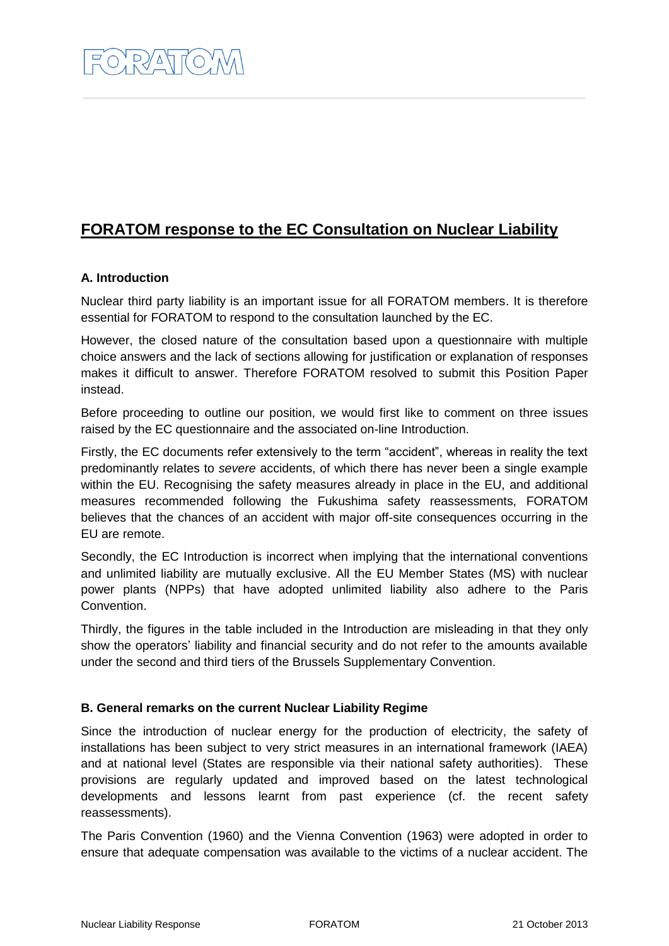# **FORATOM response to the EC Consultation on Nuclear Liability**

# **A. Introduction**

Nuclear third party liability is an important issue for all FORATOM members. It is therefore essential for FORATOM to respond to the consultation launched by the EC.

However, the closed nature of the consultation based upon a questionnaire with multiple choice answers and the lack of sections allowing for justification or explanation of responses makes it difficult to answer. Therefore FORATOM resolved to submit this Position Paper instead.

Before proceeding to outline our position, we would first like to comment on three issues raised by the EC questionnaire and the associated on-line Introduction.

Firstly, the EC documents refer extensively to the term "accident", whereas in reality the text predominantly relates to *severe* accidents, of which there has never been a single example within the EU. Recognising the safety measures already in place in the EU, and additional measures recommended following the Fukushima safety reassessments, FORATOM believes that the chances of an accident with major off-site consequences occurring in the EU are remote.

Secondly, the EC Introduction is incorrect when implying that the international conventions and unlimited liability are mutually exclusive. All the EU Member States (MS) with nuclear power plants (NPPs) that have adopted unlimited liability also adhere to the Paris Convention.

Thirdly, the figures in the table included in the Introduction are misleading in that they only show the operators' liability and financial security and do not refer to the amounts available under the second and third tiers of the Brussels Supplementary Convention.

# **B. General remarks on the current Nuclear Liability Regime**

Since the introduction of nuclear energy for the production of electricity, the safety of installations has been subject to very strict measures in an international framework (IAEA) and at national level (States are responsible via their national safety authorities). These provisions are regularly updated and improved based on the latest technological developments and lessons learnt from past experience (cf. the recent safety reassessments).

The Paris Convention (1960) and the Vienna Convention (1963) were adopted in order to ensure that adequate compensation was available to the victims of a nuclear accident. The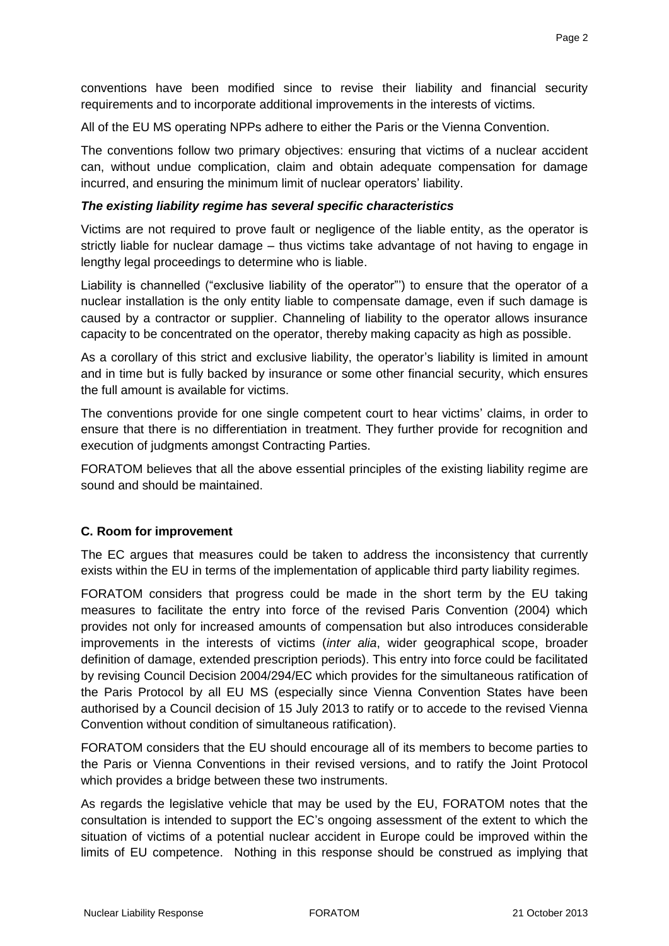conventions have been modified since to revise their liability and financial security requirements and to incorporate additional improvements in the interests of victims.

All of the EU MS operating NPPs adhere to either the Paris or the Vienna Convention.

The conventions follow two primary objectives: ensuring that victims of a nuclear accident can, without undue complication, claim and obtain adequate compensation for damage incurred, and ensuring the minimum limit of nuclear operators' liability.

#### *The existing liability regime has several specific characteristics*

Victims are not required to prove fault or negligence of the liable entity, as the operator is strictly liable for nuclear damage – thus victims take advantage of not having to engage in lengthy legal proceedings to determine who is liable.

Liability is channelled ("exclusive liability of the operator"') to ensure that the operator of a nuclear installation is the only entity liable to compensate damage, even if such damage is caused by a contractor or supplier. Channeling of liability to the operator allows insurance capacity to be concentrated on the operator, thereby making capacity as high as possible.

As a corollary of this strict and exclusive liability, the operator's liability is limited in amount and in time but is fully backed by insurance or some other financial security, which ensures the full amount is available for victims.

The conventions provide for one single competent court to hear victims' claims, in order to ensure that there is no differentiation in treatment. They further provide for recognition and execution of judgments amongst Contracting Parties.

FORATOM believes that all the above essential principles of the existing liability regime are sound and should be maintained.

## **C. Room for improvement**

The EC argues that measures could be taken to address the inconsistency that currently exists within the EU in terms of the implementation of applicable third party liability regimes.

FORATOM considers that progress could be made in the short term by the EU taking measures to facilitate the entry into force of the revised Paris Convention (2004) which provides not only for increased amounts of compensation but also introduces considerable improvements in the interests of victims (*inter alia*, wider geographical scope, broader definition of damage, extended prescription periods). This entry into force could be facilitated by revising Council Decision 2004/294/EC which provides for the simultaneous ratification of the Paris Protocol by all EU MS (especially since Vienna Convention States have been authorised by a Council decision of 15 July 2013 to ratify or to accede to the revised Vienna Convention without condition of simultaneous ratification).

FORATOM considers that the EU should encourage all of its members to become parties to the Paris or Vienna Conventions in their revised versions, and to ratify the Joint Protocol which provides a bridge between these two instruments.

As regards the legislative vehicle that may be used by the EU, FORATOM notes that the consultation is intended to support the EC's ongoing assessment of the extent to which the situation of victims of a potential nuclear accident in Europe could be improved within the limits of EU competence. Nothing in this response should be construed as implying that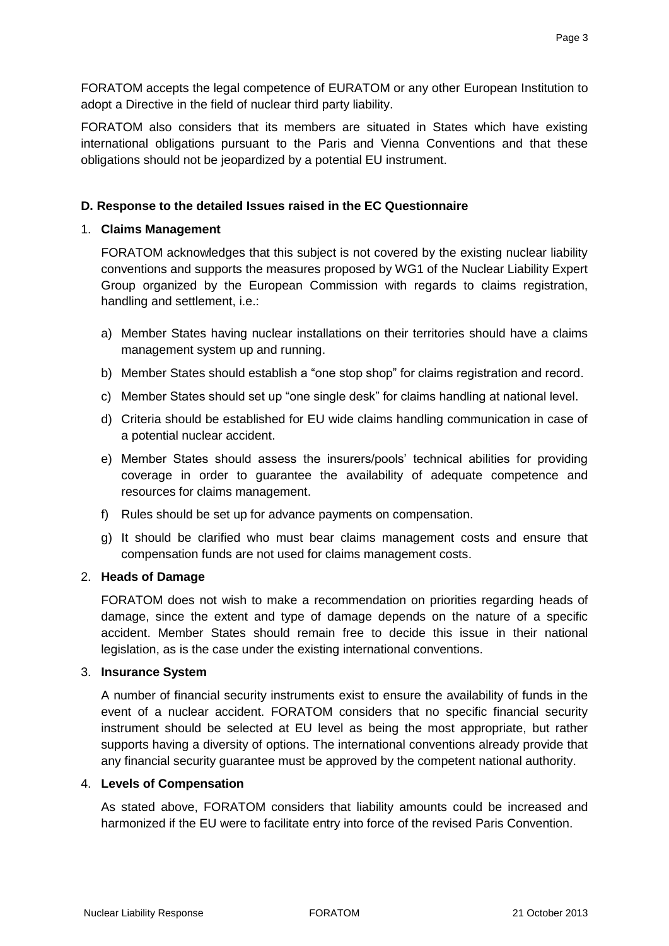FORATOM accepts the legal competence of EURATOM or any other European Institution to adopt a Directive in the field of nuclear third party liability.

FORATOM also considers that its members are situated in States which have existing international obligations pursuant to the Paris and Vienna Conventions and that these obligations should not be jeopardized by a potential EU instrument.

## **D. Response to the detailed Issues raised in the EC Questionnaire**

## 1. **Claims Management**

FORATOM acknowledges that this subject is not covered by the existing nuclear liability conventions and supports the measures proposed by WG1 of the Nuclear Liability Expert Group organized by the European Commission with regards to claims registration, handling and settlement, i.e.:

- a) Member States having nuclear installations on their territories should have a claims management system up and running.
- b) Member States should establish a "one stop shop" for claims registration and record.
- c) Member States should set up "one single desk" for claims handling at national level.
- d) Criteria should be established for EU wide claims handling communication in case of a potential nuclear accident.
- e) Member States should assess the insurers/pools' technical abilities for providing coverage in order to guarantee the availability of adequate competence and resources for claims management.
- f) Rules should be set up for advance payments on compensation.
- g) It should be clarified who must bear claims management costs and ensure that compensation funds are not used for claims management costs.

## 2. **Heads of Damage**

FORATOM does not wish to make a recommendation on priorities regarding heads of damage, since the extent and type of damage depends on the nature of a specific accident. Member States should remain free to decide this issue in their national legislation, as is the case under the existing international conventions.

## 3. **Insurance System**

A number of financial security instruments exist to ensure the availability of funds in the event of a nuclear accident. FORATOM considers that no specific financial security instrument should be selected at EU level as being the most appropriate, but rather supports having a diversity of options. The international conventions already provide that any financial security guarantee must be approved by the competent national authority.

## 4. **Levels of Compensation**

As stated above, FORATOM considers that liability amounts could be increased and harmonized if the EU were to facilitate entry into force of the revised Paris Convention.